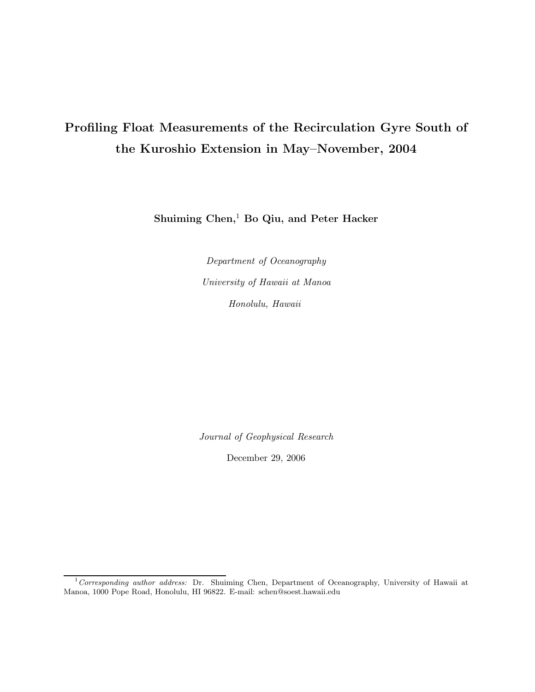# Profiling Float Measurements of the Recirculation Gyre South of the Kuroshio Extension in May–November, 2004

Shuiming Chen,<sup>1</sup> Bo Qiu, and Peter Hacker

Department of Oceanography University of Hawaii at Manoa Honolulu, Hawaii

Journal of Geophysical Research

December 29, 2006

 $1$ Corresponding author address: Dr. Shuiming Chen, Department of Oceanography, University of Hawaii at Manoa, 1000 Pope Road, Honolulu, HI 96822. E-mail: schen@soest.hawaii.edu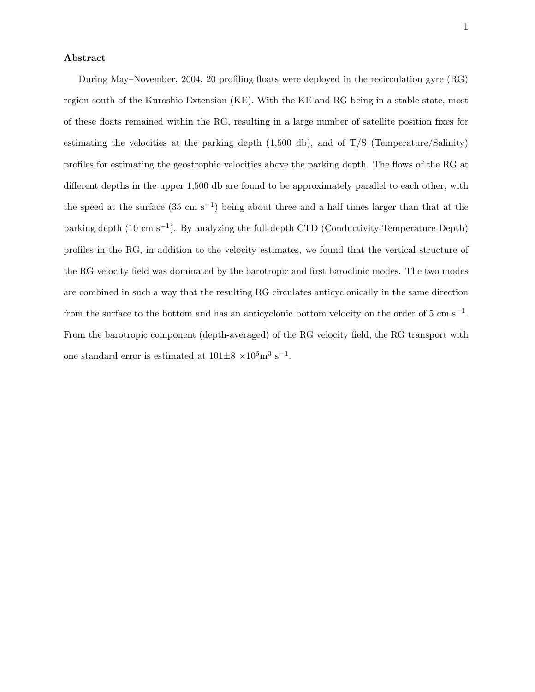#### Abstract

During May–November, 2004, 20 profiling floats were deployed in the recirculation gyre (RG) region south of the Kuroshio Extension (KE). With the KE and RG being in a stable state, most of these floats remained within the RG, resulting in a large number of satellite position fixes for estimating the velocities at the parking depth  $(1,500 \text{ db})$ , and of T/S (Temperature/Salinity) profiles for estimating the geostrophic velocities above the parking depth. The flows of the RG at different depths in the upper 1,500 db are found to be approximately parallel to each other, with the speed at the surface  $(35 \text{ cm s}^{-1})$  being about three and a half times larger than that at the parking depth (10 cm s<sup>-1</sup>). By analyzing the full-depth CTD (Conductivity-Temperature-Depth) profiles in the RG, in addition to the velocity estimates, we found that the vertical structure of the RG velocity field was dominated by the barotropic and first baroclinic modes. The two modes are combined in such a way that the resulting RG circulates anticyclonically in the same direction from the surface to the bottom and has an anticyclonic bottom velocity on the order of  $5 \text{ cm s}^{-1}$ . From the barotropic component (depth-averaged) of the RG velocity field, the RG transport with one standard error is estimated at  $101\pm8\times10^6\text{m}^3\text{ s}^{-1}$ .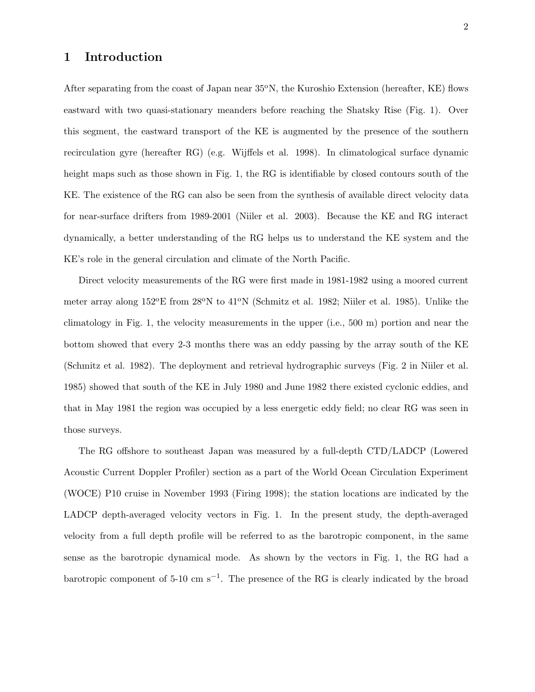## 1 Introduction

After separating from the coast of Japan near  $35^{\circ}$ N, the Kuroshio Extension (hereafter, KE) flows eastward with two quasi-stationary meanders before reaching the Shatsky Rise (Fig. 1). Over this segment, the eastward transport of the KE is augmented by the presence of the southern recirculation gyre (hereafter RG) (e.g. Wijffels et al. 1998). In climatological surface dynamic height maps such as those shown in Fig. 1, the RG is identifiable by closed contours south of the KE. The existence of the RG can also be seen from the synthesis of available direct velocity data for near-surface drifters from 1989-2001 (Niiler et al. 2003). Because the KE and RG interact dynamically, a better understanding of the RG helps us to understand the KE system and the KE's role in the general circulation and climate of the North Pacific.

Direct velocity measurements of the RG were first made in 1981-1982 using a moored current meter array along 152<sup>o</sup>E from 28<sup>o</sup>N to 41<sup>o</sup>N (Schmitz et al. 1982; Niiler et al. 1985). Unlike the climatology in Fig. 1, the velocity measurements in the upper (i.e., 500 m) portion and near the bottom showed that every 2-3 months there was an eddy passing by the array south of the KE (Schmitz et al. 1982). The deployment and retrieval hydrographic surveys (Fig. 2 in Niiler et al. 1985) showed that south of the KE in July 1980 and June 1982 there existed cyclonic eddies, and that in May 1981 the region was occupied by a less energetic eddy field; no clear RG was seen in those surveys.

The RG offshore to southeast Japan was measured by a full-depth CTD/LADCP (Lowered Acoustic Current Doppler Profiler) section as a part of the World Ocean Circulation Experiment (WOCE) P10 cruise in November 1993 (Firing 1998); the station locations are indicated by the LADCP depth-averaged velocity vectors in Fig. 1. In the present study, the depth-averaged velocity from a full depth profile will be referred to as the barotropic component, in the same sense as the barotropic dynamical mode. As shown by the vectors in Fig. 1, the RG had a barotropic component of 5-10 cm s<sup>-1</sup>. The presence of the RG is clearly indicated by the broad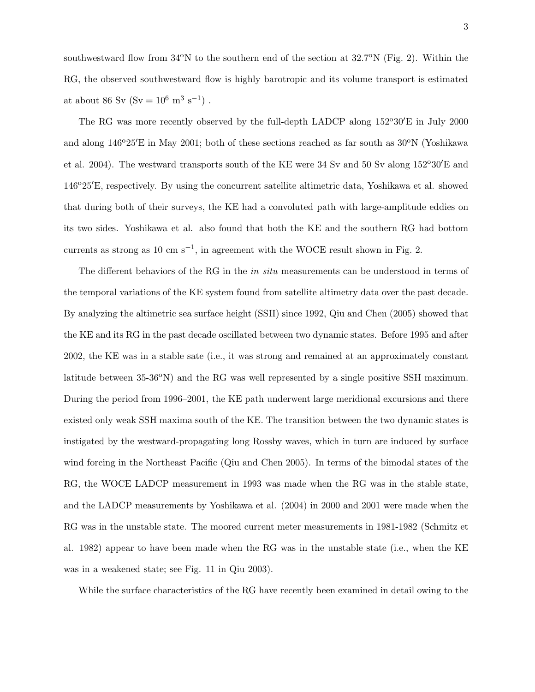southwestward flow from  $34^{\circ}$ N to the southern end of the section at  $32.7^{\circ}$ N (Fig. 2). Within the RG, the observed southwestward flow is highly barotropic and its volume transport is estimated at about 86 Sv (Sv =  $10^6$  m<sup>3</sup> s<sup>-1</sup>).

The RG was more recently observed by the full-depth LADCP along  $152^{\circ}30'E$  in July 2000 and along  $146^{\circ}25'E$  in May 2001; both of these sections reached as far south as  $30^{\circ}N$  (Yoshikawa et al. 2004). The westward transports south of the KE were 34 Sv and 50 Sv along  $152^{\circ}30'E$  and 146o25′E, respectively. By using the concurrent satellite altimetric data, Yoshikawa et al. showed that during both of their surveys, the KE had a convoluted path with large-amplitude eddies on its two sides. Yoshikawa et al. also found that both the KE and the southern RG had bottom currents as strong as  $10 \text{ cm s}^{-1}$ , in agreement with the WOCE result shown in Fig. 2.

The different behaviors of the RG in the *in situ* measurements can be understood in terms of the temporal variations of the KE system found from satellite altimetry data over the past decade. By analyzing the altimetric sea surface height (SSH) since 1992, Qiu and Chen (2005) showed that the KE and its RG in the past decade oscillated between two dynamic states. Before 1995 and after 2002, the KE was in a stable sate (i.e., it was strong and remained at an approximately constant latitude between  $35-36^{\circ}$ N) and the RG was well represented by a single positive SSH maximum. During the period from 1996–2001, the KE path underwent large meridional excursions and there existed only weak SSH maxima south of the KE. The transition between the two dynamic states is instigated by the westward-propagating long Rossby waves, which in turn are induced by surface wind forcing in the Northeast Pacific (Qiu and Chen 2005). In terms of the bimodal states of the RG, the WOCE LADCP measurement in 1993 was made when the RG was in the stable state, and the LADCP measurements by Yoshikawa et al. (2004) in 2000 and 2001 were made when the RG was in the unstable state. The moored current meter measurements in 1981-1982 (Schmitz et al. 1982) appear to have been made when the RG was in the unstable state (i.e., when the KE was in a weakened state; see Fig. 11 in Qiu 2003).

While the surface characteristics of the RG have recently been examined in detail owing to the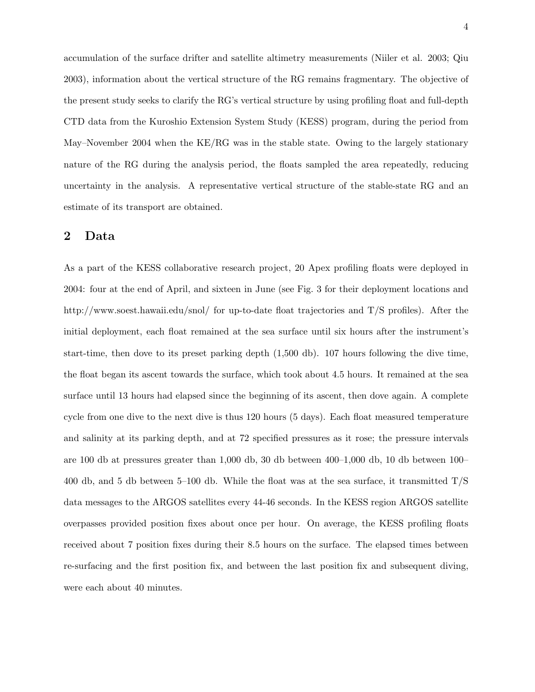accumulation of the surface drifter and satellite altimetry measurements (Niiler et al. 2003; Qiu 2003), information about the vertical structure of the RG remains fragmentary. The objective of the present study seeks to clarify the RG's vertical structure by using profiling float and full-depth CTD data from the Kuroshio Extension System Study (KESS) program, during the period from May–November 2004 when the KE/RG was in the stable state. Owing to the largely stationary nature of the RG during the analysis period, the floats sampled the area repeatedly, reducing uncertainty in the analysis. A representative vertical structure of the stable-state RG and an estimate of its transport are obtained.

## 2 Data

As a part of the KESS collaborative research project, 20 Apex profiling floats were deployed in 2004: four at the end of April, and sixteen in June (see Fig. 3 for their deployment locations and http://www.soest.hawaii.edu/snol/ for up-to-date float trajectories and T/S profiles). After the initial deployment, each float remained at the sea surface until six hours after the instrument's start-time, then dove to its preset parking depth (1,500 db). 107 hours following the dive time, the float began its ascent towards the surface, which took about 4.5 hours. It remained at the sea surface until 13 hours had elapsed since the beginning of its ascent, then dove again. A complete cycle from one dive to the next dive is thus 120 hours (5 days). Each float measured temperature and salinity at its parking depth, and at 72 specified pressures as it rose; the pressure intervals are 100 db at pressures greater than 1,000 db, 30 db between 400–1,000 db, 10 db between 100– 400 db, and 5 db between 5–100 db. While the float was at the sea surface, it transmitted  $T/S$ data messages to the ARGOS satellites every 44-46 seconds. In the KESS region ARGOS satellite overpasses provided position fixes about once per hour. On average, the KESS profiling floats received about 7 position fixes during their 8.5 hours on the surface. The elapsed times between re-surfacing and the first position fix, and between the last position fix and subsequent diving, were each about 40 minutes.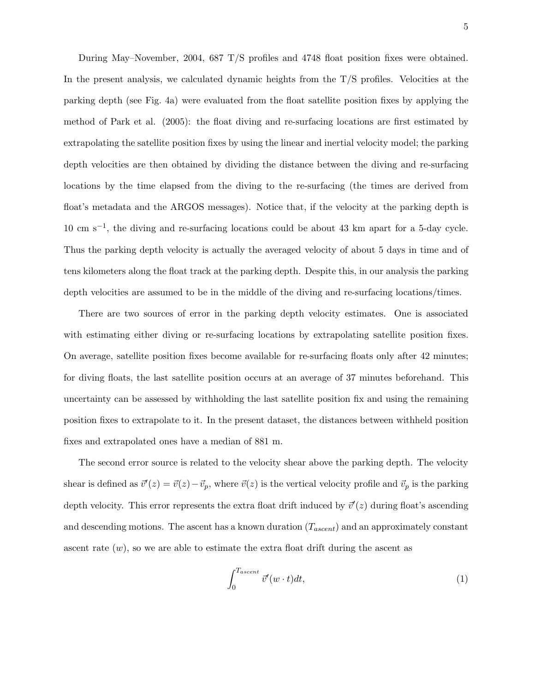During May–November, 2004, 687 T/S profiles and 4748 float position fixes were obtained. In the present analysis, we calculated dynamic heights from the  $T/S$  profiles. Velocities at the parking depth (see Fig. 4a) were evaluated from the float satellite position fixes by applying the method of Park et al. (2005): the float diving and re-surfacing locations are first estimated by extrapolating the satellite position fixes by using the linear and inertial velocity model; the parking depth velocities are then obtained by dividing the distance between the diving and re-surfacing locations by the time elapsed from the diving to the re-surfacing (the times are derived from float's metadata and the ARGOS messages). Notice that, if the velocity at the parking depth is 10 cm s−<sup>1</sup> , the diving and re-surfacing locations could be about 43 km apart for a 5-day cycle. Thus the parking depth velocity is actually the averaged velocity of about 5 days in time and of tens kilometers along the float track at the parking depth. Despite this, in our analysis the parking depth velocities are assumed to be in the middle of the diving and re-surfacing locations/times.

There are two sources of error in the parking depth velocity estimates. One is associated with estimating either diving or re-surfacing locations by extrapolating satellite position fixes. On average, satellite position fixes become available for re-surfacing floats only after 42 minutes; for diving floats, the last satellite position occurs at an average of 37 minutes beforehand. This uncertainty can be assessed by withholding the last satellite position fix and using the remaining position fixes to extrapolate to it. In the present dataset, the distances between withheld position fixes and extrapolated ones have a median of 881 m.

The second error source is related to the velocity shear above the parking depth. The velocity shear is defined as  $\vec{v}'(z) = \vec{v}(z) - \vec{v}_p$ , where  $\vec{v}(z)$  is the vertical velocity profile and  $\vec{v}_p$  is the parking depth velocity. This error represents the extra float drift induced by  $\vec{v}'(z)$  during float's ascending and descending motions. The ascent has a known duration  $(T_{ascent})$  and an approximately constant ascent rate  $(w)$ , so we are able to estimate the extra float drift during the ascent as

$$
\int_0^{T_{ascent}} \vec{v}'(w \cdot t) dt,\tag{1}
$$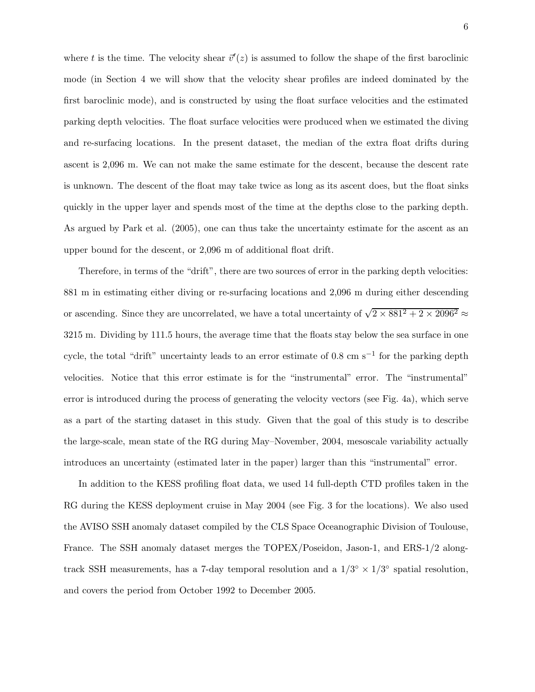where t is the time. The velocity shear  $\vec{v}'(z)$  is assumed to follow the shape of the first baroclinic mode (in Section 4 we will show that the velocity shear profiles are indeed dominated by the first baroclinic mode), and is constructed by using the float surface velocities and the estimated parking depth velocities. The float surface velocities were produced when we estimated the diving and re-surfacing locations. In the present dataset, the median of the extra float drifts during ascent is 2,096 m. We can not make the same estimate for the descent, because the descent rate is unknown. The descent of the float may take twice as long as its ascent does, but the float sinks quickly in the upper layer and spends most of the time at the depths close to the parking depth. As argued by Park et al. (2005), one can thus take the uncertainty estimate for the ascent as an upper bound for the descent, or 2,096 m of additional float drift.

Therefore, in terms of the "drift", there are two sources of error in the parking depth velocities: 881 m in estimating either diving or re-surfacing locations and 2,096 m during either descending or ascending. Since they are uncorrelated, we have a total uncertainty of  $\sqrt{2 \times 881^2 + 2 \times 2096^2} \approx$ 3215 m. Dividing by 111.5 hours, the average time that the floats stay below the sea surface in one cycle, the total "drift" uncertainty leads to an error estimate of 0.8 cm s<sup>-1</sup> for the parking depth velocities. Notice that this error estimate is for the "instrumental" error. The "instrumental" error is introduced during the process of generating the velocity vectors (see Fig. 4a), which serve as a part of the starting dataset in this study. Given that the goal of this study is to describe the large-scale, mean state of the RG during May–November, 2004, mesoscale variability actually introduces an uncertainty (estimated later in the paper) larger than this "instrumental" error.

In addition to the KESS profiling float data, we used 14 full-depth CTD profiles taken in the RG during the KESS deployment cruise in May 2004 (see Fig. 3 for the locations). We also used the AVISO SSH anomaly dataset compiled by the CLS Space Oceanographic Division of Toulouse, France. The SSH anomaly dataset merges the TOPEX/Poseidon, Jason-1, and ERS-1/2 alongtrack SSH measurements, has a 7-day temporal resolution and a  $1/3^{\circ} \times 1/3^{\circ}$  spatial resolution, and covers the period from October 1992 to December 2005.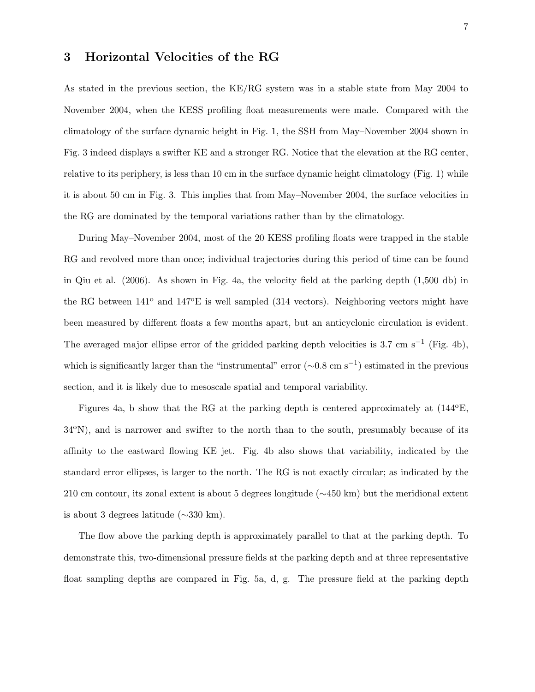## 3 Horizontal Velocities of the RG

As stated in the previous section, the KE/RG system was in a stable state from May 2004 to November 2004, when the KESS profiling float measurements were made. Compared with the climatology of the surface dynamic height in Fig. 1, the SSH from May–November 2004 shown in Fig. 3 indeed displays a swifter KE and a stronger RG. Notice that the elevation at the RG center, relative to its periphery, is less than 10 cm in the surface dynamic height climatology (Fig. 1) while it is about 50 cm in Fig. 3. This implies that from May–November 2004, the surface velocities in the RG are dominated by the temporal variations rather than by the climatology.

During May–November 2004, most of the 20 KESS profiling floats were trapped in the stable RG and revolved more than once; individual trajectories during this period of time can be found in Qiu et al. (2006). As shown in Fig. 4a, the velocity field at the parking depth (1,500 db) in the RG between  $141^{\circ}$  and  $147^{\circ}E$  is well sampled (314 vectors). Neighboring vectors might have been measured by different floats a few months apart, but an anticyclonic circulation is evident. The averaged major ellipse error of the gridded parking depth velocities is 3.7 cm s<sup>-1</sup> (Fig. 4b), which is significantly larger than the "instrumental" error  $(\sim 0.8 \text{ cm s}^{-1})$  estimated in the previous section, and it is likely due to mesoscale spatial and temporal variability.

Figures 4a, b show that the RG at the parking depth is centered approximately at  $(144^{\circ}E,$ 34oN), and is narrower and swifter to the north than to the south, presumably because of its affinity to the eastward flowing KE jet. Fig. 4b also shows that variability, indicated by the standard error ellipses, is larger to the north. The RG is not exactly circular; as indicated by the 210 cm contour, its zonal extent is about 5 degrees longitude (∼450 km) but the meridional extent is about 3 degrees latitude (∼330 km).

The flow above the parking depth is approximately parallel to that at the parking depth. To demonstrate this, two-dimensional pressure fields at the parking depth and at three representative float sampling depths are compared in Fig. 5a, d, g. The pressure field at the parking depth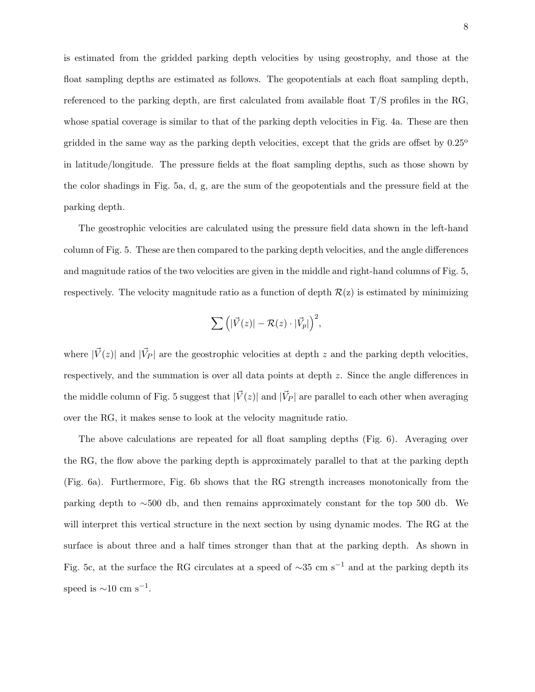is estimated from the gridded parking depth velocities by using geostrophy, and those at the float sampling depths are estimated as follows. The geopotentials at each float sampling depth, referenced to the parking depth, are first calculated from available float T/S profiles in the RG, whose spatial coverage is similar to that of the parking depth velocities in Fig. 4a. These are then gridded in the same way as the parking depth velocities, except that the grids are offset by  $0.25^{\circ}$ in latitude/longitude. The pressure fields at the float sampling depths, such as those shown by the color shadings in Fig. 5a, d, g, are the sum of the geopotentials and the pressure field at the parking depth.

The geostrophic velocities are calculated using the pressure field data shown in the left-hand column of Fig. 5. These are then compared to the parking depth velocities, and the angle differences and magnitude ratios of the two velocities are given in the middle and right-hand columns of Fig. 5, respectively. The velocity magnitude ratio as a function of depth  $\mathcal{R}(z)$  is estimated by minimizing

$$
\sum \Big( |\vec{V}(z)| - \mathcal{R}(z) \cdot |\vec{V}_p| \Big)^2,
$$

where  $|\vec{V}(z)|$  and  $|\vec{V}_P|$  are the geostrophic velocities at depth z and the parking depth velocities, respectively, and the summation is over all data points at depth z. Since the angle differences in the middle column of Fig. 5 suggest that  $|\vec{V}(z)|$  and  $|\vec{V}_P|$  are parallel to each other when averaging over the RG, it makes sense to look at the velocity magnitude ratio.

The above calculations are repeated for all float sampling depths (Fig. 6). Averaging over the RG, the flow above the parking depth is approximately parallel to that at the parking depth (Fig. 6a). Furthermore, Fig. 6b shows that the RG strength increases monotonically from the parking depth to ∼500 db, and then remains approximately constant for the top 500 db. We will interpret this vertical structure in the next section by using dynamic modes. The RG at the surface is about three and a half times stronger than that at the parking depth. As shown in Fig. 5c, at the surface the RG circulates at a speed of  $\sim$ 35 cm s<sup>-1</sup> and at the parking depth its speed is  $\sim$ 10 cm s<sup>-1</sup>.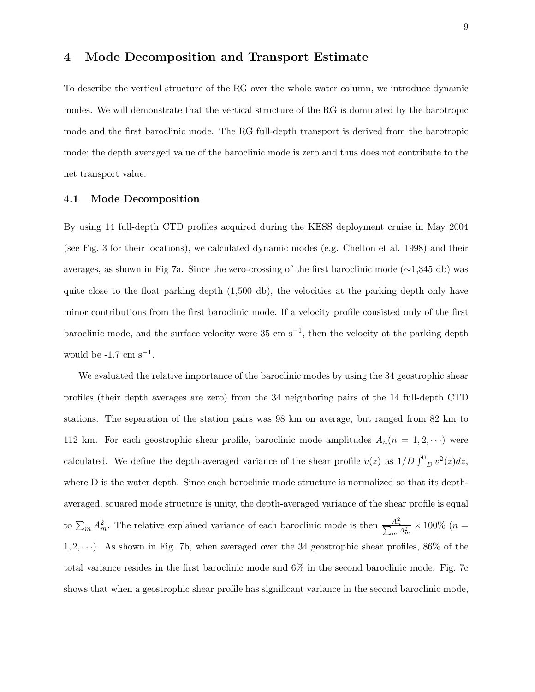## 4 Mode Decomposition and Transport Estimate

To describe the vertical structure of the RG over the whole water column, we introduce dynamic modes. We will demonstrate that the vertical structure of the RG is dominated by the barotropic mode and the first baroclinic mode. The RG full-depth transport is derived from the barotropic mode; the depth averaged value of the baroclinic mode is zero and thus does not contribute to the net transport value.

#### 4.1 Mode Decomposition

By using 14 full-depth CTD profiles acquired during the KESS deployment cruise in May 2004 (see Fig. 3 for their locations), we calculated dynamic modes (e.g. Chelton et al. 1998) and their averages, as shown in Fig 7a. Since the zero-crossing of the first baroclinic mode (∼1,345 db) was quite close to the float parking depth (1,500 db), the velocities at the parking depth only have minor contributions from the first baroclinic mode. If a velocity profile consisted only of the first baroclinic mode, and the surface velocity were  $35 \text{ cm s}^{-1}$ , then the velocity at the parking depth would be  $-1.7 \text{ cm s}^{-1}$ .

We evaluated the relative importance of the baroclinic modes by using the 34 geostrophic shear profiles (their depth averages are zero) from the 34 neighboring pairs of the 14 full-depth CTD stations. The separation of the station pairs was 98 km on average, but ranged from 82 km to 112 km. For each geostrophic shear profile, baroclinic mode amplitudes  $A_n(n = 1, 2, \cdots)$  were calculated. We define the depth-averaged variance of the shear profile  $v(z)$  as  $1/D \int_{-D}^{0} v^2(z) dz$ , where D is the water depth. Since each baroclinic mode structure is normalized so that its depthaveraged, squared mode structure is unity, the depth-averaged variance of the shear profile is equal to  $\sum_m A_m^2$ . The relative explained variance of each baroclinic mode is then  $\frac{A_n^2}{\sum_m A_m^2} \times 100\%$  (*n* =  $1, 2, \dots$ ). As shown in Fig. 7b, when averaged over the 34 geostrophic shear profiles, 86% of the total variance resides in the first baroclinic mode and 6% in the second baroclinic mode. Fig. 7c shows that when a geostrophic shear profile has significant variance in the second baroclinic mode,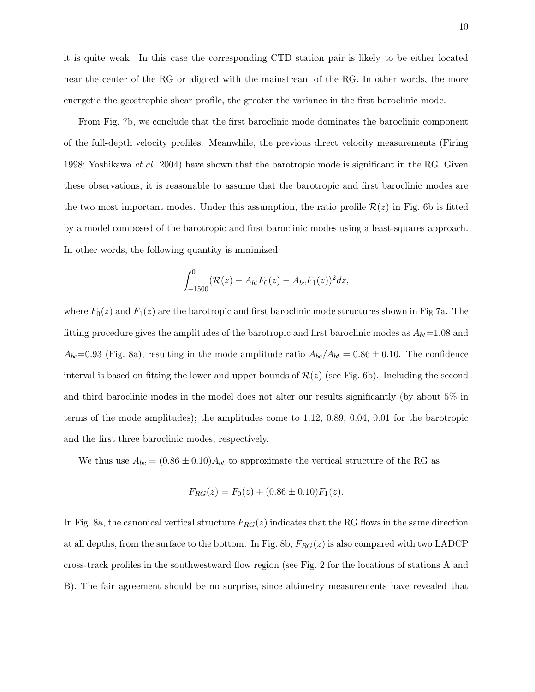it is quite weak. In this case the corresponding CTD station pair is likely to be either located near the center of the RG or aligned with the mainstream of the RG. In other words, the more energetic the geostrophic shear profile, the greater the variance in the first baroclinic mode.

From Fig. 7b, we conclude that the first baroclinic mode dominates the baroclinic component of the full-depth velocity profiles. Meanwhile, the previous direct velocity measurements (Firing 1998; Yoshikawa *et al.* 2004) have shown that the barotropic mode is significant in the RG. Given these observations, it is reasonable to assume that the barotropic and first baroclinic modes are the two most important modes. Under this assumption, the ratio profile  $\mathcal{R}(z)$  in Fig. 6b is fitted by a model composed of the barotropic and first baroclinic modes using a least-squares approach. In other words, the following quantity is minimized:

$$
\int_{-1500}^{0} (\mathcal{R}(z) - A_{bt}F_0(z) - A_{bc}F_1(z))^2 dz,
$$

where  $F_0(z)$  and  $F_1(z)$  are the barotropic and first baroclinic mode structures shown in Fig 7a. The fitting procedure gives the amplitudes of the barotropic and first baroclinic modes as  $A_{bt}=1.08$  and  $A_{bc}=0.93$  (Fig. 8a), resulting in the mode amplitude ratio  $A_{bc}/A_{bt}=0.86\pm0.10$ . The confidence interval is based on fitting the lower and upper bounds of  $\mathcal{R}(z)$  (see Fig. 6b). Including the second and third baroclinic modes in the model does not alter our results significantly (by about 5% in terms of the mode amplitudes); the amplitudes come to 1.12, 0.89, 0.04, 0.01 for the barotropic and the first three baroclinic modes, respectively.

We thus use  $A_{bc} = (0.86 \pm 0.10)A_{bt}$  to approximate the vertical structure of the RG as

$$
F_{RG}(z) = F_0(z) + (0.86 \pm 0.10)F_1(z).
$$

In Fig. 8a, the canonical vertical structure  $F_{RG}(z)$  indicates that the RG flows in the same direction at all depths, from the surface to the bottom. In Fig. 8b,  $F_{RG}(z)$  is also compared with two LADCP cross-track profiles in the southwestward flow region (see Fig. 2 for the locations of stations A and B). The fair agreement should be no surprise, since altimetry measurements have revealed that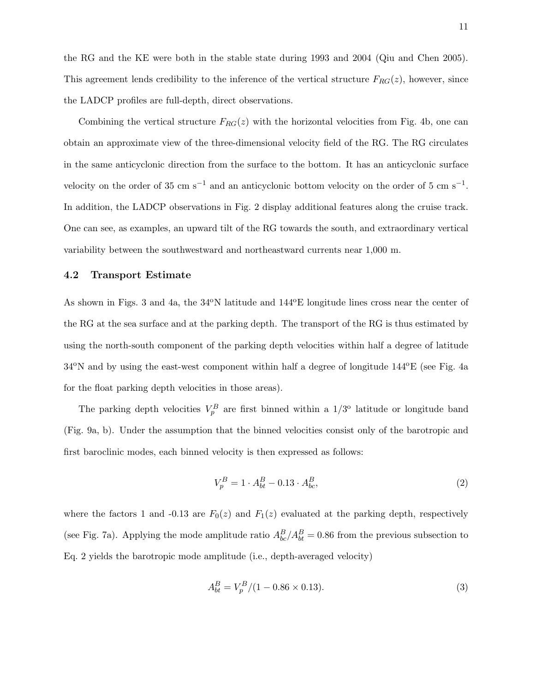the RG and the KE were both in the stable state during 1993 and 2004 (Qiu and Chen 2005). This agreement lends credibility to the inference of the vertical structure  $F_{RG}(z)$ , however, since the LADCP profiles are full-depth, direct observations.

Combining the vertical structure  $F_{RG}(z)$  with the horizontal velocities from Fig. 4b, one can obtain an approximate view of the three-dimensional velocity field of the RG. The RG circulates in the same anticyclonic direction from the surface to the bottom. It has an anticyclonic surface velocity on the order of 35 cm s<sup>-1</sup> and an anticyclonic bottom velocity on the order of 5 cm s<sup>-1</sup>. In addition, the LADCP observations in Fig. 2 display additional features along the cruise track. One can see, as examples, an upward tilt of the RG towards the south, and extraordinary vertical variability between the southwestward and northeastward currents near 1,000 m.

#### 4.2 Transport Estimate

As shown in Figs. 3 and 4a, the 34°N latitude and  $144^{\circ}E$  longitude lines cross near the center of the RG at the sea surface and at the parking depth. The transport of the RG is thus estimated by using the north-south component of the parking depth velocities within half a degree of latitude  $34^{\circ}$ N and by using the east-west component within half a degree of longitude  $144^{\circ}$ E (see Fig. 4a) for the float parking depth velocities in those areas).

The parking depth velocities  $V_p^B$  are first binned within a  $1/3^{\circ}$  latitude or longitude band (Fig. 9a, b). Under the assumption that the binned velocities consist only of the barotropic and first baroclinic modes, each binned velocity is then expressed as follows:

$$
V_p^B = 1 \cdot A_{bt}^B - 0.13 \cdot A_{bc}^B,\tag{2}
$$

where the factors 1 and -0.13 are  $F_0(z)$  and  $F_1(z)$  evaluated at the parking depth, respectively (see Fig. 7a). Applying the mode amplitude ratio  $A_{bc}^B/A_{bt}^B = 0.86$  from the previous subsection to Eq. 2 yields the barotropic mode amplitude (i.e., depth-averaged velocity)

$$
A_{bt}^B = V_p^B / (1 - 0.86 \times 0.13). \tag{3}
$$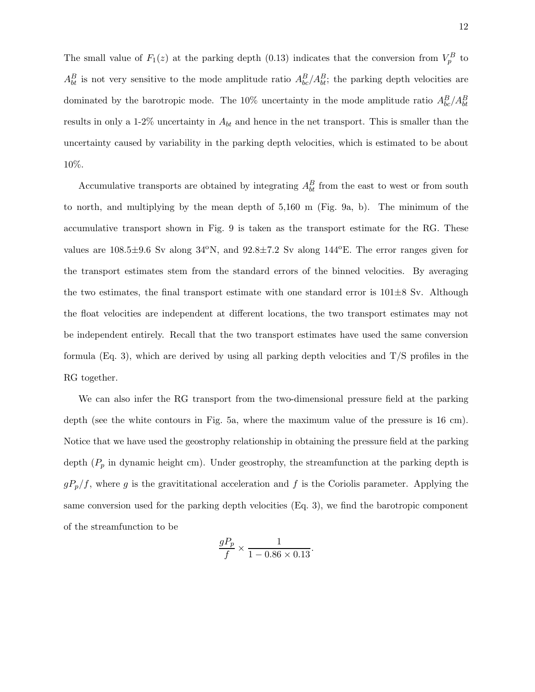The small value of  $F_1(z)$  at the parking depth (0.13) indicates that the conversion from  $V_p^B$  to  $A_{bt}^B$  is not very sensitive to the mode amplitude ratio  $A_{bc}^B/A_{bt}^B$ ; the parking depth velocities are dominated by the barotropic mode. The 10% uncertainty in the mode amplitude ratio  $A_{bc}^B/A_{bt}^B$ results in only a 1-2% uncertainty in  $A_{bt}$  and hence in the net transport. This is smaller than the uncertainty caused by variability in the parking depth velocities, which is estimated to be about 10%.

Accumulative transports are obtained by integrating  $A_{bt}^B$  from the east to west or from south to north, and multiplying by the mean depth of 5,160 m (Fig. 9a, b). The minimum of the accumulative transport shown in Fig. 9 is taken as the transport estimate for the RG. These values are  $108.5\pm9.6$  Sv along  $34^{\circ}$ N, and  $92.8\pm7.2$  Sv along  $144^{\circ}$ E. The error ranges given for the transport estimates stem from the standard errors of the binned velocities. By averaging the two estimates, the final transport estimate with one standard error is  $101\pm8$  Sv. Although the float velocities are independent at different locations, the two transport estimates may not be independent entirely. Recall that the two transport estimates have used the same conversion formula (Eq. 3), which are derived by using all parking depth velocities and T/S profiles in the RG together.

We can also infer the RG transport from the two-dimensional pressure field at the parking depth (see the white contours in Fig. 5a, where the maximum value of the pressure is 16 cm). Notice that we have used the geostrophy relationship in obtaining the pressure field at the parking depth  $(P_p$  in dynamic height cm). Under geostrophy, the streamfunction at the parking depth is  $gP_p/f$ , where g is the gravititational acceleration and f is the Coriolis parameter. Applying the same conversion used for the parking depth velocities (Eq. 3), we find the barotropic component of the streamfunction to be

$$
\frac{gP_p}{f} \times \frac{1}{1 - 0.86 \times 0.13}.
$$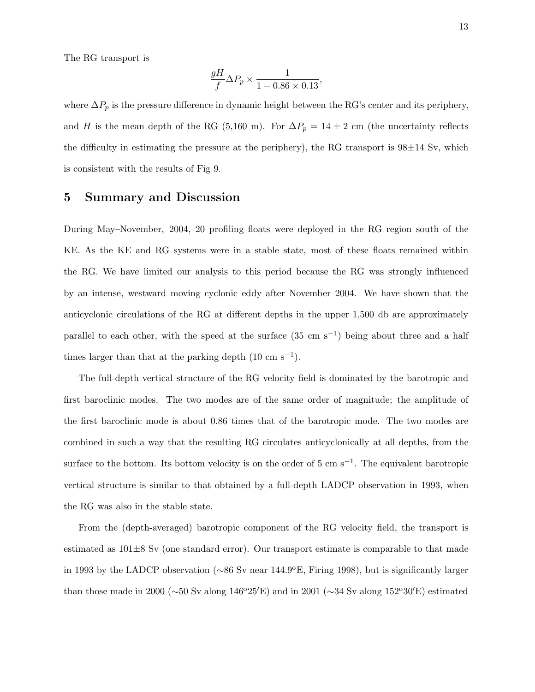The RG transport is

$$
\frac{gH}{f}\Delta P_p \times \frac{1}{1 - 0.86 \times 0.13},
$$

where  $\Delta P_p$  is the pressure difference in dynamic height between the RG's center and its periphery, and H is the mean depth of the RG (5,160 m). For  $\Delta P_p = 14 \pm 2$  cm (the uncertainty reflects the difficulty in estimating the pressure at the periphery), the RG transport is  $98\pm14$  Sv, which is consistent with the results of Fig 9.

#### 5 Summary and Discussion

During May–November, 2004, 20 profiling floats were deployed in the RG region south of the KE. As the KE and RG systems were in a stable state, most of these floats remained within the RG. We have limited our analysis to this period because the RG was strongly influenced by an intense, westward moving cyclonic eddy after November 2004. We have shown that the anticyclonic circulations of the RG at different depths in the upper 1,500 db are approximately parallel to each other, with the speed at the surface  $(35 \text{ cm s}^{-1})$  being about three and a half times larger than that at the parking depth  $(10 \text{ cm s}^{-1})$ .

The full-depth vertical structure of the RG velocity field is dominated by the barotropic and first baroclinic modes. The two modes are of the same order of magnitude; the amplitude of the first baroclinic mode is about 0.86 times that of the barotropic mode. The two modes are combined in such a way that the resulting RG circulates anticyclonically at all depths, from the surface to the bottom. Its bottom velocity is on the order of 5 cm s<sup>-1</sup>. The equivalent barotropic vertical structure is similar to that obtained by a full-depth LADCP observation in 1993, when the RG was also in the stable state.

From the (depth-averaged) barotropic component of the RG velocity field, the transport is estimated as  $101\pm8$  Sv (one standard error). Our transport estimate is comparable to that made in 1993 by the LADCP observation ( $\sim 86$  Sv near 144.9<sup>o</sup>E, Firing 1998), but is significantly larger than those made in 2000 ( $\sim$ 50 Sv along 146<sup>o</sup>25<sup>'</sup>E) and in 2001 ( $\sim$ 34 Sv along 152<sup>o</sup>30<sup>'</sup>E) estimated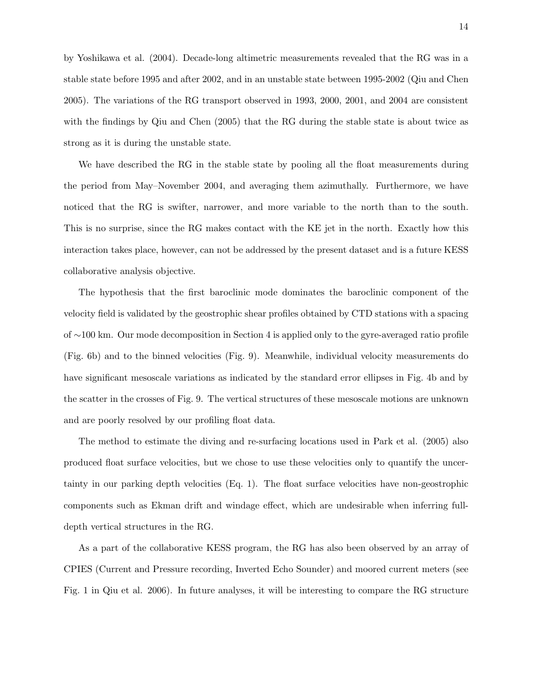by Yoshikawa et al. (2004). Decade-long altimetric measurements revealed that the RG was in a stable state before 1995 and after 2002, and in an unstable state between 1995-2002 (Qiu and Chen 2005). The variations of the RG transport observed in 1993, 2000, 2001, and 2004 are consistent with the findings by Qiu and Chen (2005) that the RG during the stable state is about twice as strong as it is during the unstable state.

We have described the RG in the stable state by pooling all the float measurements during the period from May–November 2004, and averaging them azimuthally. Furthermore, we have noticed that the RG is swifter, narrower, and more variable to the north than to the south. This is no surprise, since the RG makes contact with the KE jet in the north. Exactly how this interaction takes place, however, can not be addressed by the present dataset and is a future KESS collaborative analysis objective.

The hypothesis that the first baroclinic mode dominates the baroclinic component of the velocity field is validated by the geostrophic shear profiles obtained by CTD stations with a spacing of ∼100 km. Our mode decomposition in Section 4 is applied only to the gyre-averaged ratio profile (Fig. 6b) and to the binned velocities (Fig. 9). Meanwhile, individual velocity measurements do have significant mesoscale variations as indicated by the standard error ellipses in Fig. 4b and by the scatter in the crosses of Fig. 9. The vertical structures of these mesoscale motions are unknown and are poorly resolved by our profiling float data.

The method to estimate the diving and re-surfacing locations used in Park et al. (2005) also produced float surface velocities, but we chose to use these velocities only to quantify the uncertainty in our parking depth velocities (Eq. 1). The float surface velocities have non-geostrophic components such as Ekman drift and windage effect, which are undesirable when inferring fulldepth vertical structures in the RG.

As a part of the collaborative KESS program, the RG has also been observed by an array of CPIES (Current and Pressure recording, Inverted Echo Sounder) and moored current meters (see Fig. 1 in Qiu et al. 2006). In future analyses, it will be interesting to compare the RG structure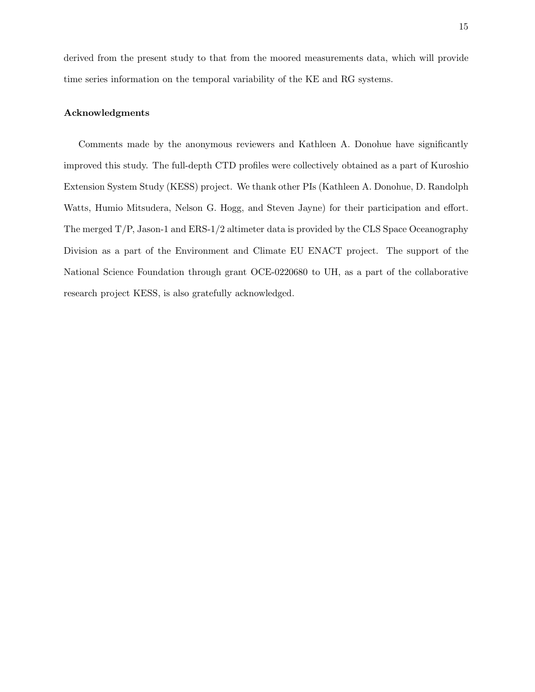derived from the present study to that from the moored measurements data, which will provide time series information on the temporal variability of the KE and RG systems.

#### Acknowledgments

Comments made by the anonymous reviewers and Kathleen A. Donohue have significantly improved this study. The full-depth CTD profiles were collectively obtained as a part of Kuroshio Extension System Study (KESS) project. We thank other PIs (Kathleen A. Donohue, D. Randolph Watts, Humio Mitsudera, Nelson G. Hogg, and Steven Jayne) for their participation and effort. The merged  $T/P$ , Jason-1 and  $ERS-1/2$  altimeter data is provided by the CLS Space Oceanography Division as a part of the Environment and Climate EU ENACT project. The support of the National Science Foundation through grant OCE-0220680 to UH, as a part of the collaborative research project KESS, is also gratefully acknowledged.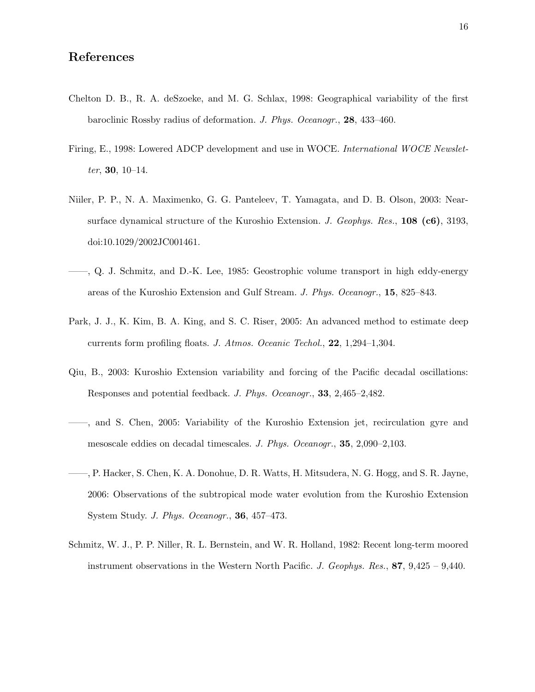- Chelton D. B., R. A. deSzoeke, and M. G. Schlax, 1998: Geographical variability of the first baroclinic Rossby radius of deformation. J. Phys. Oceanogr., 28, 433–460.
- Firing, E., 1998: Lowered ADCP development and use in WOCE. International WOCE Newsletter, 30,  $10-14$ .
- Niiler, P. P., N. A. Maximenko, G. G. Panteleev, T. Yamagata, and D. B. Olson, 2003: Nearsurface dynamical structure of the Kuroshio Extension. J. Geophys. Res., 108 (c6), 3193, doi:10.1029/2002JC001461.
- ——, Q. J. Schmitz, and D.-K. Lee, 1985: Geostrophic volume transport in high eddy-energy areas of the Kuroshio Extension and Gulf Stream. J. Phys. Oceanogr., 15, 825–843.
- Park, J. J., K. Kim, B. A. King, and S. C. Riser, 2005: An advanced method to estimate deep currents form profiling floats. J. Atmos. Oceanic Techol., 22, 1,294–1,304.
- Qiu, B., 2003: Kuroshio Extension variability and forcing of the Pacific decadal oscillations: Responses and potential feedback. J. Phys. Oceanogr., 33, 2,465–2,482.
- ——, and S. Chen, 2005: Variability of the Kuroshio Extension jet, recirculation gyre and mesoscale eddies on decadal timescales. J. Phys. Oceanogr., 35, 2,090–2,103.
- ——, P. Hacker, S. Chen, K. A. Donohue, D. R. Watts, H. Mitsudera, N. G. Hogg, and S. R. Jayne, 2006: Observations of the subtropical mode water evolution from the Kuroshio Extension System Study. J. Phys. Oceanogr., 36, 457–473.
- Schmitz, W. J., P. P. Niller, R. L. Bernstein, and W. R. Holland, 1982: Recent long-term moored instrument observations in the Western North Pacific. J. Geophys. Res.,  $87, 9,425 - 9,440$ .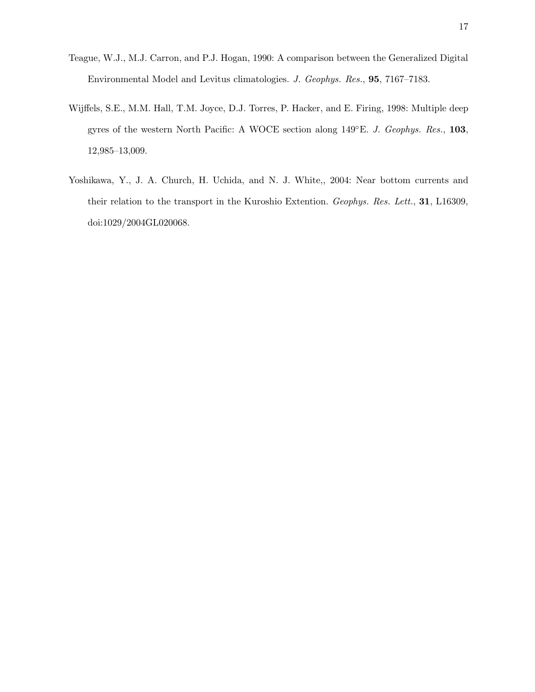- Teague, W.J., M.J. Carron, and P.J. Hogan, 1990: A comparison between the Generalized Digital Environmental Model and Levitus climatologies. J. Geophys. Res., 95, 7167–7183.
- Wijffels, S.E., M.M. Hall, T.M. Joyce, D.J. Torres, P. Hacker, and E. Firing, 1998: Multiple deep gyres of the western North Pacific: A WOCE section along 149°E. J. Geophys. Res., 103, 12,985–13,009.
- Yoshikawa, Y., J. A. Church, H. Uchida, and N. J. White,, 2004: Near bottom currents and their relation to the transport in the Kuroshio Extention. Geophys. Res. Lett., 31, L16309, doi:1029/2004GL020068.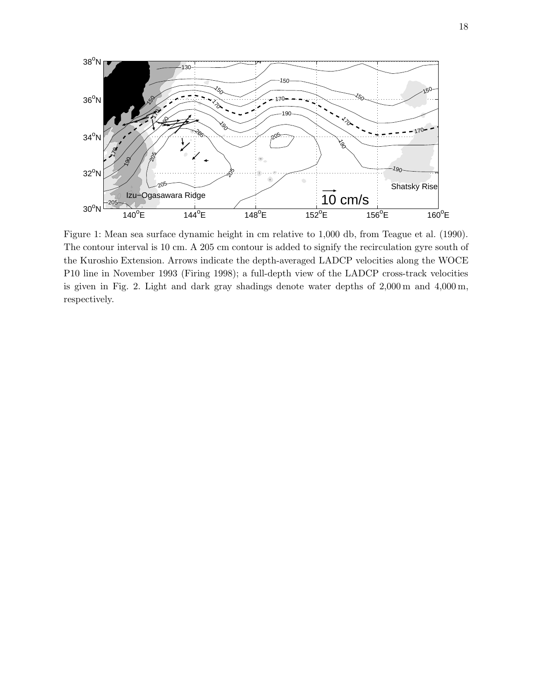

Figure 1: Mean sea surface dynamic height in cm relative to 1,000 db, from Teague et al. (1990). The contour interval is 10 cm. A 205 cm contour is added to signify the recirculation gyre south of the Kuroshio Extension. Arrows indicate the depth-averaged LADCP velocities along the WOCE P10 line in November 1993 (Firing 1998); a full-depth view of the LADCP cross-track velocities is given in Fig. 2. Light and dark gray shadings denote water depths of 2,000 m and 4,000 m, respectively.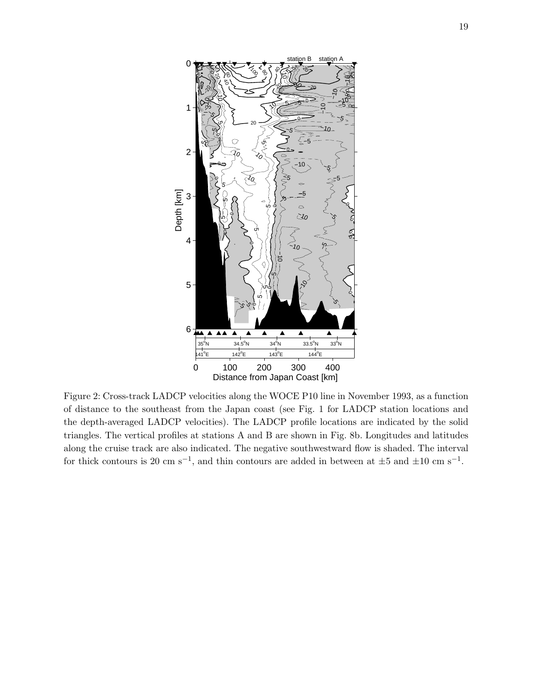

Figure 2: Cross-track LADCP velocities along the WOCE P10 line in November 1993, as a function of distance to the southeast from the Japan coast (see Fig. 1 for LADCP station locations and the depth-averaged LADCP velocities). The LADCP profile locations are indicated by the solid triangles. The vertical profiles at stations A and B are shown in Fig. 8b. Longitudes and latitudes along the cruise track are also indicated. The negative southwestward flow is shaded. The interval for thick contours is 20 cm s<sup>-1</sup>, and thin contours are added in between at  $\pm 5$  and  $\pm 10$  cm s<sup>-1</sup>.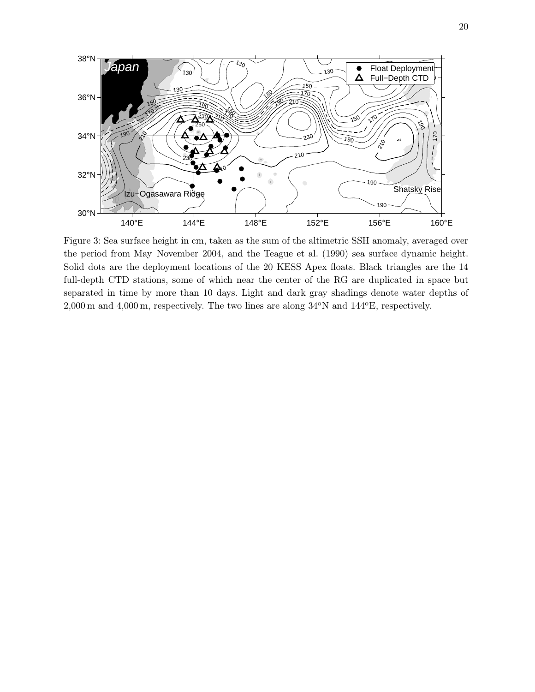

Figure 3: Sea surface height in cm, taken as the sum of the altimetric SSH anomaly, averaged over the period from May–November 2004, and the Teague et al. (1990) sea surface dynamic height. Solid dots are the deployment locations of the 20 KESS Apex floats. Black triangles are the 14 full-depth CTD stations, some of which near the center of the RG are duplicated in space but separated in time by more than 10 days. Light and dark gray shadings denote water depths of  $2,000$  m and  $4,000$  m, respectively. The two lines are along  $34^{\circ}N$  and  $144^{\circ}E$ , respectively.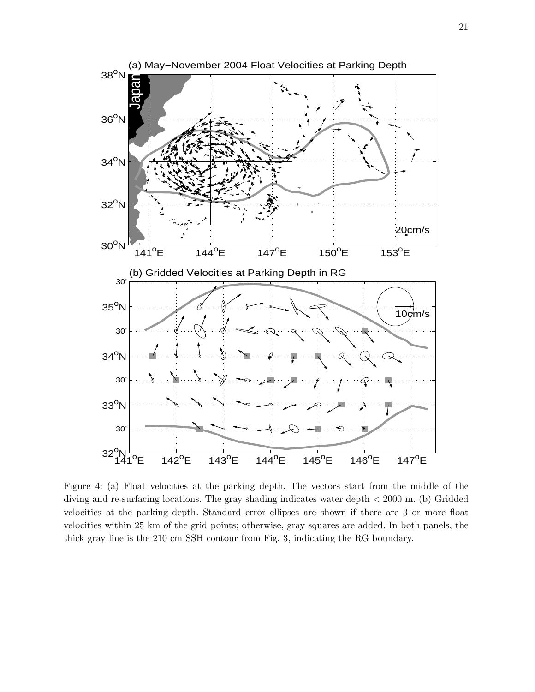

Figure 4: (a) Float velocities at the parking depth. The vectors start from the middle of the diving and re-surfacing locations. The gray shading indicates water depth < 2000 m. (b) Gridded velocities at the parking depth. Standard error ellipses are shown if there are 3 or more float velocities within 25 km of the grid points; otherwise, gray squares are added. In both panels, the thick gray line is the 210 cm SSH contour from Fig. 3, indicating the RG boundary.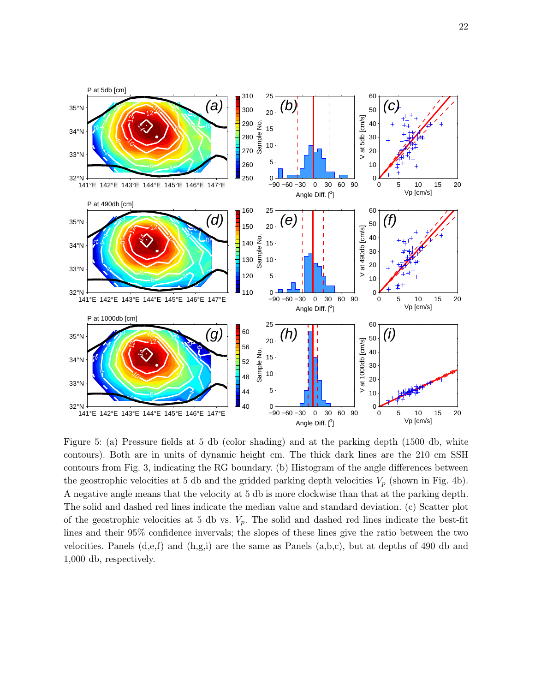

Figure 5: (a) Pressure fields at 5 db (color shading) and at the parking depth (1500 db, white contours). Both are in units of dynamic height cm. The thick dark lines are the 210 cm SSH contours from Fig. 3, indicating the RG boundary. (b) Histogram of the angle differences between the geostrophic velocities at 5 db and the gridded parking depth velocities  $V_p$  (shown in Fig. 4b). A negative angle means that the velocity at 5 db is more clockwise than that at the parking depth. The solid and dashed red lines indicate the median value and standard deviation. (c) Scatter plot of the geostrophic velocities at 5 db vs.  $V_p$ . The solid and dashed red lines indicate the best-fit lines and their 95% confidence invervals; the slopes of these lines give the ratio between the two velocities. Panels  $(d,e,f)$  and  $(h,g,i)$  are the same as Panels  $(a,b,c)$ , but at depths of 490 db and 1,000 db, respectively.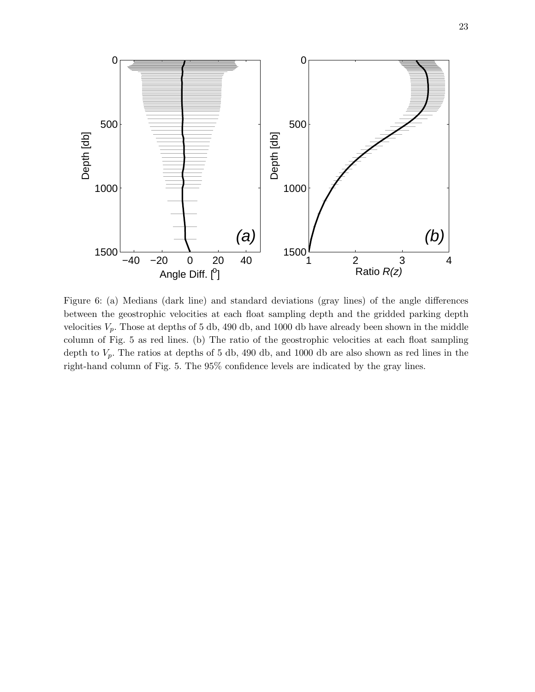

Figure 6: (a) Medians (dark line) and standard deviations (gray lines) of the angle differences between the geostrophic velocities at each float sampling depth and the gridded parking depth velocities  $V_p$ . Those at depths of 5 db, 490 db, and 1000 db have already been shown in the middle column of Fig. 5 as red lines. (b) The ratio of the geostrophic velocities at each float sampling depth to  $V_p$ . The ratios at depths of 5 db, 490 db, and 1000 db are also shown as red lines in the right-hand column of Fig. 5. The 95% confidence levels are indicated by the gray lines.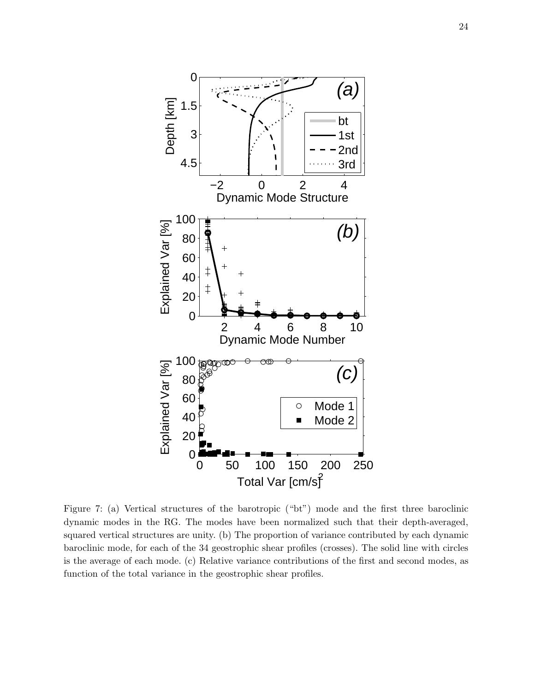

Figure 7: (a) Vertical structures of the barotropic ("bt") mode and the first three baroclinic dynamic modes in the RG. The modes have been normalized such that their depth-averaged, squared vertical structures are unity. (b) The proportion of variance contributed by each dynamic baroclinic mode, for each of the 34 geostrophic shear profiles (crosses). The solid line with circles is the average of each mode. (c) Relative variance contributions of the first and second modes, as function of the total variance in the geostrophic shear profiles.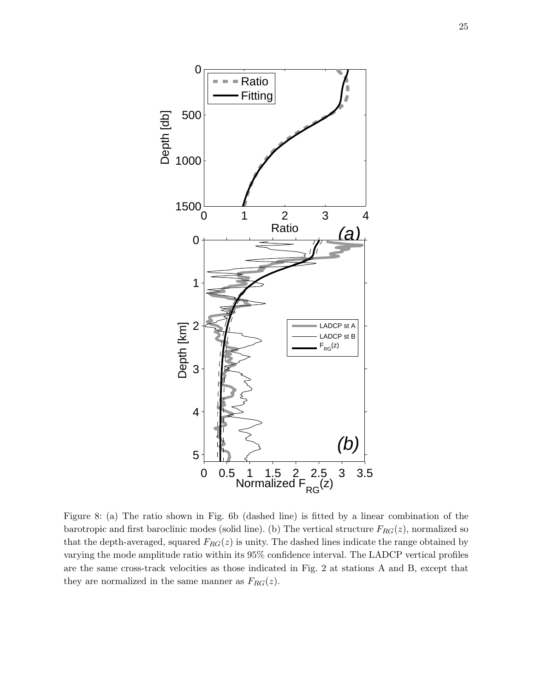

Figure 8: (a) The ratio shown in Fig. 6b (dashed line) is fitted by a linear combination of the barotropic and first baroclinic modes (solid line). (b) The vertical structure  $F_{RG}(z)$ , normalized so that the depth-averaged, squared  $F_{RG}(z)$  is unity. The dashed lines indicate the range obtained by varying the mode amplitude ratio within its 95% confidence interval. The LADCP vertical profiles are the same cross-track velocities as those indicated in Fig. 2 at stations A and B, except that they are normalized in the same manner as  $F_{RG}(z)$ .